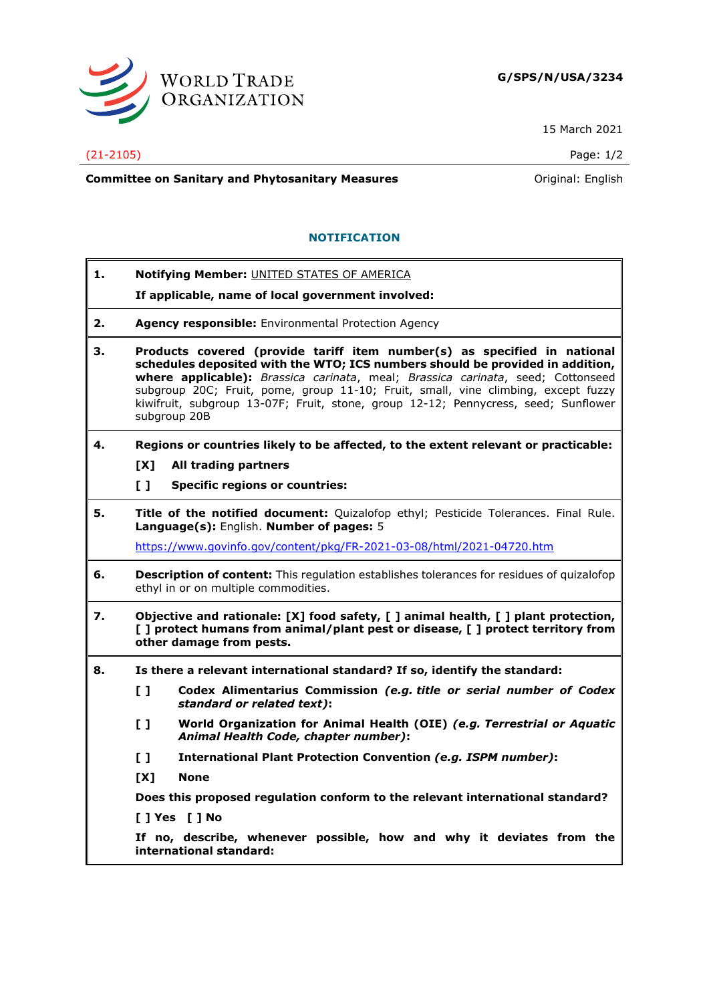

15 March 2021

## (21-2105) Page: 1/2

**Committee on Sanitary and Phytosanitary Measures Committee on Sanitary and Phytosanitary Measures Committee And American** 

## **NOTIFICATION**

**1. Notifying Member:** UNITED STATES OF AMERICA

**If applicable, name of local government involved:**

- **2. Agency responsible:** Environmental Protection Agency
- **3. Products covered (provide tariff item number(s) as specified in national schedules deposited with the WTO; ICS numbers should be provided in addition, where applicable):** *Brassica carinata*, meal; *Brassica carinata*, seed; Cottonseed subgroup 20C; Fruit, pome, group 11-10; Fruit, small, vine climbing, except fuzzy kiwifruit, subgroup 13-07F; Fruit, stone, group 12-12; Pennycress, seed; Sunflower subgroup 20B
- **4. Regions or countries likely to be affected, to the extent relevant or practicable:**
	- **[X] All trading partners**
	- **[ ] Specific regions or countries:**
- **5. Title of the notified document:** Quizalofop ethyl; Pesticide Tolerances. Final Rule. **Language(s):** English. **Number of pages:** 5

<https://www.govinfo.gov/content/pkg/FR-2021-03-08/html/2021-04720.htm>

- **6. Description of content:** This regulation establishes tolerances for residues of quizalofop ethyl in or on multiple commodities.
- **7. Objective and rationale: [X] food safety, [ ] animal health, [ ] plant protection, [ ] protect humans from animal/plant pest or disease, [ ] protect territory from other damage from pests.**
- **8. Is there a relevant international standard? If so, identify the standard:**
	- **[ ] Codex Alimentarius Commission** *(e.g. title or serial number of Codex standard or related text)***:**
	- **[ ] World Organization for Animal Health (OIE)** *(e.g. Terrestrial or Aquatic Animal Health Code, chapter number)***:**
	- **[ ] International Plant Protection Convention** *(e.g. ISPM number)***:**
	- **[X] None**

**Does this proposed regulation conform to the relevant international standard?** 

**[ ] Yes [ ] No**

**If no, describe, whenever possible, how and why it deviates from the international standard:**